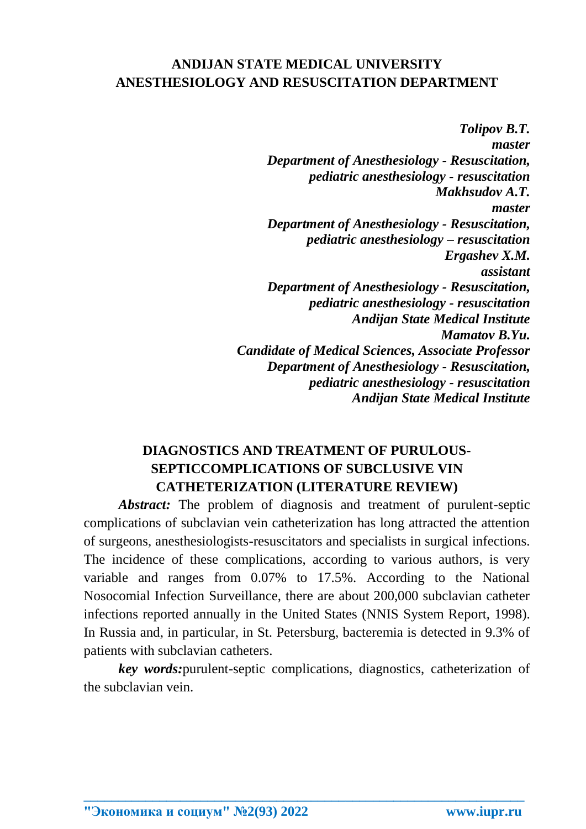## **ANDIJAN STATE MEDICAL UNIVERSITY ANESTHESIOLOGY AND RESUSCITATION DEPARTMENT**

*Tolipov B.T. master Department of Anesthesiology - Resuscitation, pediatric anesthesiology - resuscitation Makhsudov A.T. master Department of Anesthesiology - Resuscitation, pediatric anesthesiology – resuscitation Ergashev X.M. assistant Department of Anesthesiology - Resuscitation, pediatric anesthesiology - resuscitation Andijan State Medical Institute Mamatov B.Yu. Candidate of Medical Sciences, Associate Professor Department of Anesthesiology - Resuscitation, pediatric anesthesiology - resuscitation Andijan State Medical Institute*

## **DIAGNOSTICS AND TREATMENT OF PURULOUS-SEPTICCOMPLICATIONS OF SUBCLUSIVE VIN CATHETERIZATION (LITERATURE REVIEW)**

*Abstract:* The problem of diagnosis and treatment of purulent-septic complications of subclavian vein catheterization has long attracted the attention of surgeons, anesthesiologists-resuscitators and specialists in surgical infections. The incidence of these complications, according to various authors, is very variable and ranges from 0.07% to 17.5%. According to the National Nosocomial Infection Surveillance, there are about 200,000 subclavian catheter infections reported annually in the United States (NNIS System Report, 1998). In Russia and, in particular, in St. Petersburg, bacteremia is detected in 9.3% of patients with subclavian catheters.

*key words:*purulent-septic complications, diagnostics, catheterization of the subclavian vein.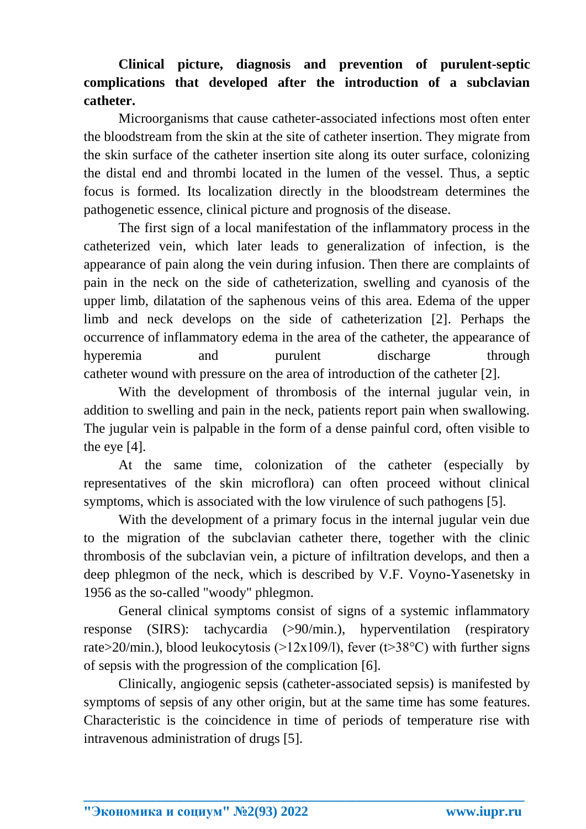## **Clinical picture, diagnosis and prevention of purulent-septic complications that developed after the introduction of a subclavian catheter.**

Microorganisms that cause catheter-associated infections most often enter the bloodstream from the skin at the site of catheter insertion. They migrate from the skin surface of the catheter insertion site along its outer surface, colonizing the distal end and thrombi located in the lumen of the vessel. Thus, a septic focus is formed. Its localization directly in the bloodstream determines the pathogenetic essence, clinical picture and prognosis of the disease.

The first sign of a local manifestation of the inflammatory process in the catheterized vein, which later leads to generalization of infection, is the appearance of pain along the vein during infusion. Then there are complaints of pain in the neck on the side of catheterization, swelling and cyanosis of the upper limb, dilatation of the saphenous veins of this area. Edema of the upper limb and neck develops on the side of catheterization [2]. Perhaps the occurrence of inflammatory edema in the area of the catheter, the appearance of hyperemia and purulent discharge through catheter wound with pressure on the area of introduction of the catheter [2].

With the development of thrombosis of the internal jugular vein, in addition to swelling and pain in the neck, patients report pain when swallowing. The jugular vein is palpable in the form of a dense painful cord, often visible to the eye [4].

At the same time, colonization of the catheter (especially by representatives of the skin microflora) can often proceed without clinical symptoms, which is associated with the low virulence of such pathogens [5].

With the development of a primary focus in the internal jugular vein due to the migration of the subclavian catheter there, together with the clinic thrombosis of the subclavian vein, a picture of infiltration develops, and then a deep phlegmon of the neck, which is described by V.F. Voyno-Yasenetsky in 1956 as the so-called "woody" phlegmon.

General clinical symptoms consist of signs of a systemic inflammatory response (SIRS): tachycardia (>90/min.), hyperventilation (respiratory rate>20/min.), blood leukocytosis (>12x109/l), fever (t>38 $^{\circ}$ C) with further signs of sepsis with the progression of the complication [6].

Clinically, angiogenic sepsis (catheter-associated sepsis) is manifested by symptoms of sepsis of any other origin, but at the same time has some features. Characteristic is the coincidence in time of periods of temperature rise with intravenous administration of drugs [5].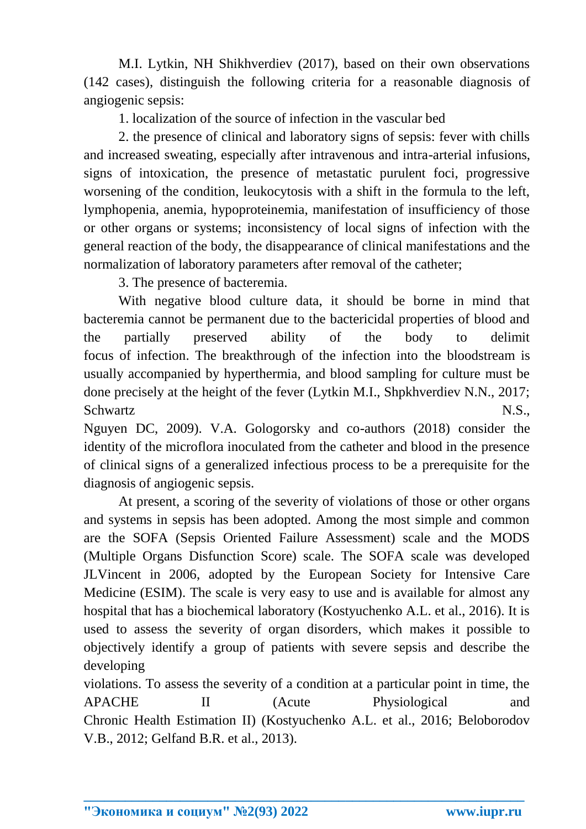M.I. Lytkin, NH Shikhverdiev (2017), based on their own observations (142 cases), distinguish the following criteria for a reasonable diagnosis of angiogenic sepsis:

1. localization of the source of infection in the vascular bed

2. the presence of clinical and laboratory signs of sepsis: fever with chills and increased sweating, especially after intravenous and intra-arterial infusions, signs of intoxication, the presence of metastatic purulent foci, progressive worsening of the condition, leukocytosis with a shift in the formula to the left, lymphopenia, anemia, hypoproteinemia, manifestation of insufficiency of those or other organs or systems; inconsistency of local signs of infection with the general reaction of the body, the disappearance of clinical manifestations and the normalization of laboratory parameters after removal of the catheter;

3. The presence of bacteremia.

With negative blood culture data, it should be borne in mind that bacteremia cannot be permanent due to the bactericidal properties of blood and the partially preserved ability of the body to delimit focus of infection. The breakthrough of the infection into the bloodstream is usually accompanied by hyperthermia, and blood sampling for culture must be done precisely at the height of the fever (Lytkin M.I., Shpkhverdiev N.N., 2017; Schwartz N.S.,

Nguyen DC, 2009). V.A. Gologorsky and co-authors (2018) consider the identity of the microflora inoculated from the catheter and blood in the presence of clinical signs of a generalized infectious process to be a prerequisite for the diagnosis of angiogenic sepsis.

At present, a scoring of the severity of violations of those or other organs and systems in sepsis has been adopted. Among the most simple and common are the SOFA (Sepsis Oriented Failure Assessment) scale and the MODS (Multiple Organs Disfunction Score) scale. The SOFA scale was developed JLVincent in 2006, adopted by the European Society for Intensive Care Medicine (ESIM). The scale is very easy to use and is available for almost any hospital that has a biochemical laboratory (Kostyuchenko A.L. et al., 2016). It is used to assess the severity of organ disorders, which makes it possible to objectively identify a group of patients with severe sepsis and describe the developing

violations. To assess the severity of a condition at a particular point in time, the APACHE II (Acute Physiological and Chronic Health Estimation II) (Kostyuchenko A.L. et al., 2016; Beloborodov V.B., 2012; Gelfand B.R. et al., 2013).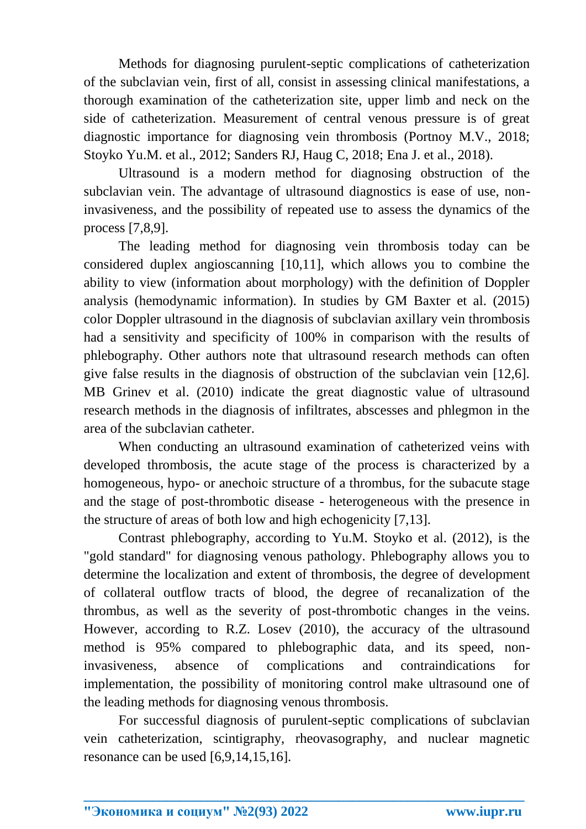Methods for diagnosing purulent-septic complications of catheterization of the subclavian vein, first of all, consist in assessing clinical manifestations, a thorough examination of the catheterization site, upper limb and neck on the side of catheterization. Measurement of central venous pressure is of great diagnostic importance for diagnosing vein thrombosis (Portnoy M.V., 2018; Stoyko Yu.M. et al., 2012; Sanders RJ, Haug C, 2018; Ena J. et al., 2018).

Ultrasound is a modern method for diagnosing obstruction of the subclavian vein. The advantage of ultrasound diagnostics is ease of use, noninvasiveness, and the possibility of repeated use to assess the dynamics of the process [7,8,9].

The leading method for diagnosing vein thrombosis today can be considered duplex angioscanning [10,11], which allows you to combine the ability to view (information about morphology) with the definition of Doppler analysis (hemodynamic information). In studies by GM Baxter et al. (2015) color Doppler ultrasound in the diagnosis of subclavian axillary vein thrombosis had a sensitivity and specificity of 100% in comparison with the results of phlebography. Other authors note that ultrasound research methods can often give false results in the diagnosis of obstruction of the subclavian vein [12,6]. MB Grinev et al. (2010) indicate the great diagnostic value of ultrasound research methods in the diagnosis of infiltrates, abscesses and phlegmon in the area of the subclavian catheter.

When conducting an ultrasound examination of catheterized veins with developed thrombosis, the acute stage of the process is characterized by a homogeneous, hypo- or anechoic structure of a thrombus, for the subacute stage and the stage of post-thrombotic disease - heterogeneous with the presence in the structure of areas of both low and high echogenicity [7,13].

Contrast phlebography, according to Yu.M. Stoyko et al. (2012), is the "gold standard" for diagnosing venous pathology. Phlebography allows you to determine the localization and extent of thrombosis, the degree of development of collateral outflow tracts of blood, the degree of recanalization of the thrombus, as well as the severity of post-thrombotic changes in the veins. However, according to R.Z. Losev (2010), the accuracy of the ultrasound method is 95% compared to phlebographic data, and its speed, noninvasiveness, absence of complications and contraindications for implementation, the possibility of monitoring control make ultrasound one of the leading methods for diagnosing venous thrombosis.

For successful diagnosis of purulent-septic complications of subclavian vein catheterization, scintigraphy, rheovasography, and nuclear magnetic resonance can be used [6,9,14,15,16].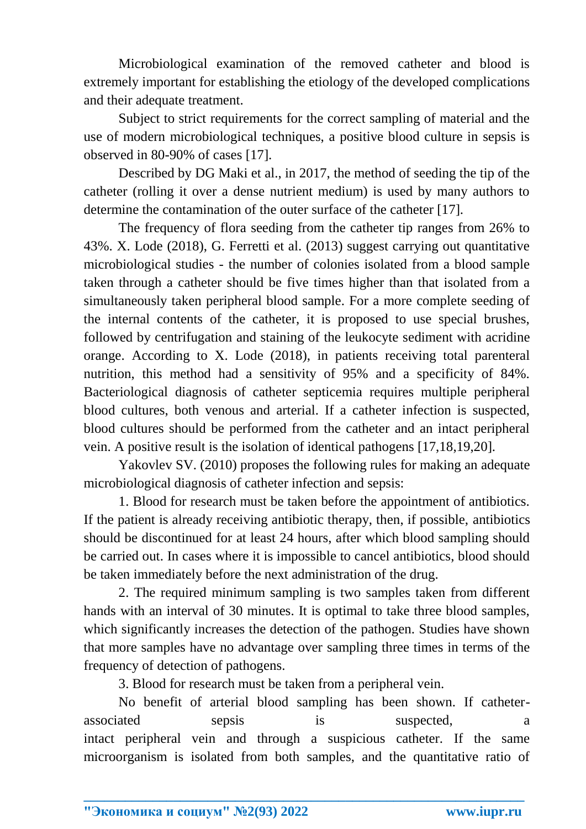Microbiological examination of the removed catheter and blood is extremely important for establishing the etiology of the developed complications and their adequate treatment.

Subject to strict requirements for the correct sampling of material and the use of modern microbiological techniques, a positive blood culture in sepsis is observed in 80-90% of cases [17].

Described by DG Maki et al., in 2017, the method of seeding the tip of the catheter (rolling it over a dense nutrient medium) is used by many authors to determine the contamination of the outer surface of the catheter [17].

The frequency of flora seeding from the catheter tip ranges from 26% to 43%. X. Lode (2018), G. Ferretti et al. (2013) suggest carrying out quantitative microbiological studies - the number of colonies isolated from a blood sample taken through a catheter should be five times higher than that isolated from a simultaneously taken peripheral blood sample. For a more complete seeding of the internal contents of the catheter, it is proposed to use special brushes, followed by centrifugation and staining of the leukocyte sediment with acridine orange. According to X. Lode (2018), in patients receiving total parenteral nutrition, this method had a sensitivity of 95% and a specificity of 84%. Bacteriological diagnosis of catheter septicemia requires multiple peripheral blood cultures, both venous and arterial. If a catheter infection is suspected, blood cultures should be performed from the catheter and an intact peripheral vein. A positive result is the isolation of identical pathogens [17,18,19,20].

Yakovlev SV. (2010) proposes the following rules for making an adequate microbiological diagnosis of catheter infection and sepsis:

1. Blood for research must be taken before the appointment of antibiotics. If the patient is already receiving antibiotic therapy, then, if possible, antibiotics should be discontinued for at least 24 hours, after which blood sampling should be carried out. In cases where it is impossible to cancel antibiotics, blood should be taken immediately before the next administration of the drug.

2. The required minimum sampling is two samples taken from different hands with an interval of 30 minutes. It is optimal to take three blood samples, which significantly increases the detection of the pathogen. Studies have shown that more samples have no advantage over sampling three times in terms of the frequency of detection of pathogens.

3. Blood for research must be taken from a peripheral vein.

No benefit of arterial blood sampling has been shown. If catheterassociated sepsis is suspected, intact peripheral vein and through a suspicious catheter. If the same microorganism is isolated from both samples, and the quantitative ratio of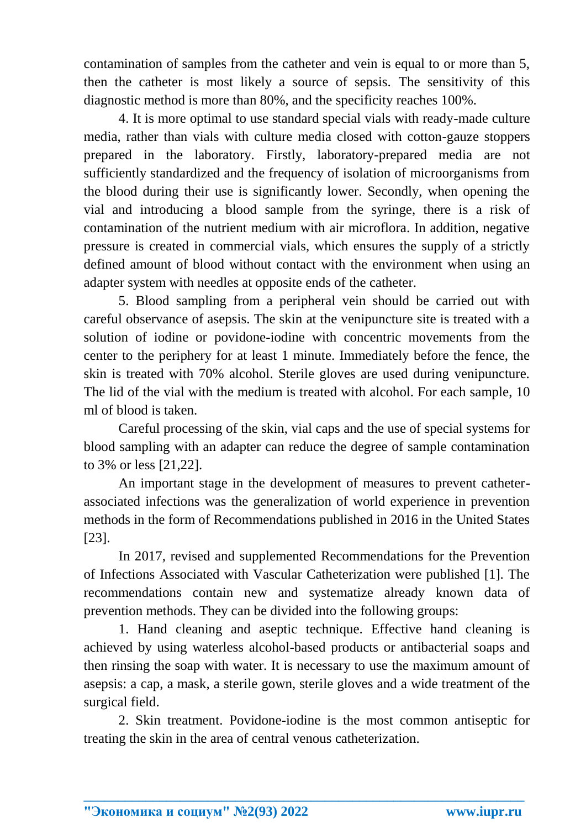contamination of samples from the catheter and vein is equal to or more than 5, then the catheter is most likely a source of sepsis. The sensitivity of this diagnostic method is more than 80%, and the specificity reaches 100%.

4. It is more optimal to use standard special vials with ready-made culture media, rather than vials with culture media closed with cotton-gauze stoppers prepared in the laboratory. Firstly, laboratory-prepared media are not sufficiently standardized and the frequency of isolation of microorganisms from the blood during their use is significantly lower. Secondly, when opening the vial and introducing a blood sample from the syringe, there is a risk of contamination of the nutrient medium with air microflora. In addition, negative pressure is created in commercial vials, which ensures the supply of a strictly defined amount of blood without contact with the environment when using an adapter system with needles at opposite ends of the catheter.

5. Blood sampling from a peripheral vein should be carried out with careful observance of asepsis. The skin at the venipuncture site is treated with a solution of iodine or povidone-iodine with concentric movements from the center to the periphery for at least 1 minute. Immediately before the fence, the skin is treated with 70% alcohol. Sterile gloves are used during venipuncture. The lid of the vial with the medium is treated with alcohol. For each sample, 10 ml of blood is taken.

Careful processing of the skin, vial caps and the use of special systems for blood sampling with an adapter can reduce the degree of sample contamination to 3% or less [21,22].

An important stage in the development of measures to prevent catheterassociated infections was the generalization of world experience in prevention methods in the form of Recommendations published in 2016 in the United States [23].

In 2017, revised and supplemented Recommendations for the Prevention of Infections Associated with Vascular Catheterization were published [1]. The recommendations contain new and systematize already known data of prevention methods. They can be divided into the following groups:

1. Hand cleaning and aseptic technique. Effective hand cleaning is achieved by using waterless alcohol-based products or antibacterial soaps and then rinsing the soap with water. It is necessary to use the maximum amount of asepsis: a cap, a mask, a sterile gown, sterile gloves and a wide treatment of the surgical field.

2. Skin treatment. Povidone-iodine is the most common antiseptic for treating the skin in the area of central venous catheterization.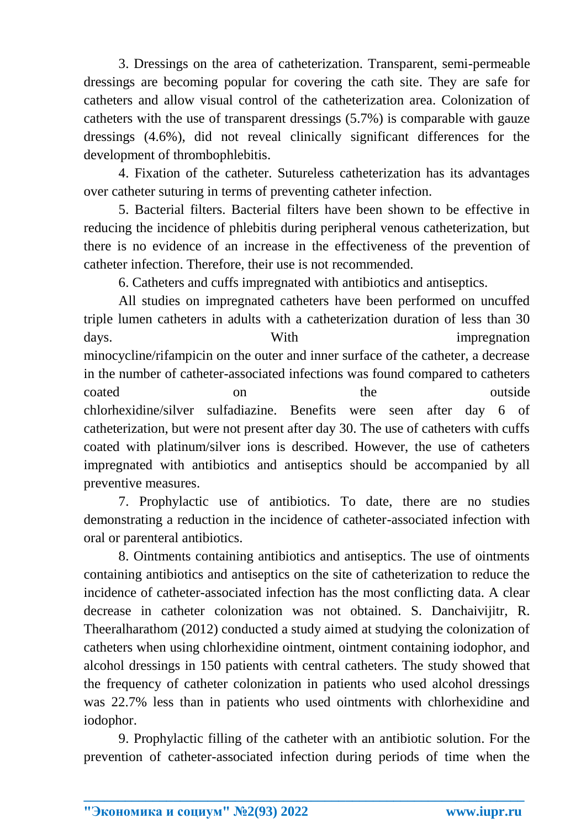3. Dressings on the area of catheterization. Transparent, semi-permeable dressings are becoming popular for covering the cath site. They are safe for catheters and allow visual control of the catheterization area. Colonization of catheters with the use of transparent dressings (5.7%) is comparable with gauze dressings (4.6%), did not reveal clinically significant differences for the development of thrombophlebitis.

4. Fixation of the catheter. Sutureless catheterization has its advantages over catheter suturing in terms of preventing catheter infection.

5. Bacterial filters. Bacterial filters have been shown to be effective in reducing the incidence of phlebitis during peripheral venous catheterization, but there is no evidence of an increase in the effectiveness of the prevention of catheter infection. Therefore, their use is not recommended.

6. Catheters and cuffs impregnated with antibiotics and antiseptics.

All studies on impregnated catheters have been performed on uncuffed triple lumen catheters in adults with a catheterization duration of less than 30 days. With impregnation minocycline/rifampicin on the outer and inner surface of the catheter, a decrease in the number of catheter-associated infections was found compared to catheters coated on on the outside chlorhexidine/silver sulfadiazine. Benefits were seen after day 6 of catheterization, but were not present after day 30. The use of catheters with cuffs coated with platinum/silver ions is described. However, the use of catheters impregnated with antibiotics and antiseptics should be accompanied by all preventive measures.

7. Prophylactic use of antibiotics. To date, there are no studies demonstrating a reduction in the incidence of catheter-associated infection with oral or parenteral antibiotics.

8. Ointments containing antibiotics and antiseptics. The use of ointments containing antibiotics and antiseptics on the site of catheterization to reduce the incidence of catheter-associated infection has the most conflicting data. A clear decrease in catheter colonization was not obtained. S. Danchaivijitr, R. Theeralharathom (2012) conducted a study aimed at studying the colonization of catheters when using chlorhexidine ointment, ointment containing iodophor, and alcohol dressings in 150 patients with central catheters. The study showed that the frequency of catheter colonization in patients who used alcohol dressings was 22.7% less than in patients who used ointments with chlorhexidine and iodophor.

9. Prophylactic filling of the catheter with an antibiotic solution. For the prevention of catheter-associated infection during periods of time when the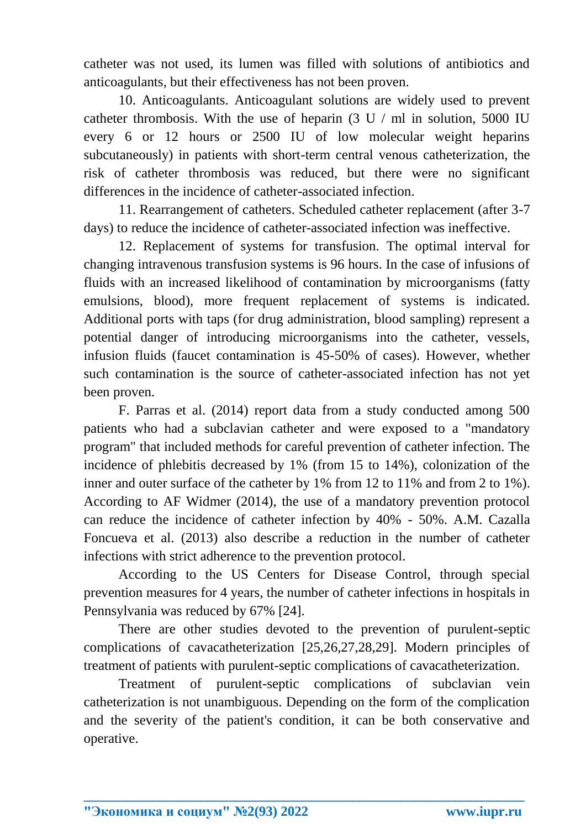catheter was not used, its lumen was filled with solutions of antibiotics and anticoagulants, but their effectiveness has not been proven.

10. Anticoagulants. Anticoagulant solutions are widely used to prevent catheter thrombosis. With the use of heparin  $(3 \text{ U } / \text{ ml }$  in solution, 5000 IU every 6 or 12 hours or 2500 IU of low molecular weight heparins subcutaneously) in patients with short-term central venous catheterization, the risk of catheter thrombosis was reduced, but there were no significant differences in the incidence of catheter-associated infection.

11. Rearrangement of catheters. Scheduled catheter replacement (after 3-7 days) to reduce the incidence of catheter-associated infection was ineffective.

12. Replacement of systems for transfusion. The optimal interval for changing intravenous transfusion systems is 96 hours. In the case of infusions of fluids with an increased likelihood of contamination by microorganisms (fatty emulsions, blood), more frequent replacement of systems is indicated. Additional ports with taps (for drug administration, blood sampling) represent a potential danger of introducing microorganisms into the catheter, vessels, infusion fluids (faucet contamination is 45-50% of cases). However, whether such contamination is the source of catheter-associated infection has not yet been proven.

F. Parras et al. (2014) report data from a study conducted among 500 patients who had a subclavian catheter and were exposed to a "mandatory program" that included methods for careful prevention of catheter infection. The incidence of phlebitis decreased by 1% (from 15 to 14%), colonization of the inner and outer surface of the catheter by 1% from 12 to 11% and from 2 to 1%). According to AF Widmer (2014), the use of a mandatory prevention protocol can reduce the incidence of catheter infection by 40% - 50%. A.M. Cazalla Foncueva et al. (2013) also describe a reduction in the number of catheter infections with strict adherence to the prevention protocol.

According to the US Centers for Disease Control, through special prevention measures for 4 years, the number of catheter infections in hospitals in Pennsylvania was reduced by 67% [24].

There are other studies devoted to the prevention of purulent-septic complications of cavacatheterization [25,26,27,28,29]. Modern principles of treatment of patients with purulent-septic complications of cavacatheterization.

Treatment of purulent-septic complications of subclavian vein catheterization is not unambiguous. Depending on the form of the complication and the severity of the patient's condition, it can be both conservative and operative.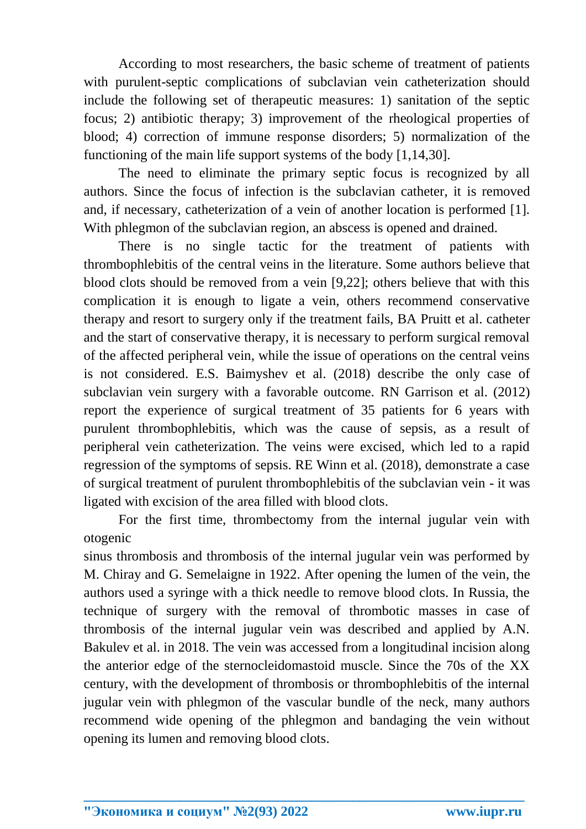According to most researchers, the basic scheme of treatment of patients with purulent-septic complications of subclavian vein catheterization should include the following set of therapeutic measures: 1) sanitation of the septic focus; 2) antibiotic therapy; 3) improvement of the rheological properties of blood; 4) correction of immune response disorders; 5) normalization of the functioning of the main life support systems of the body [1,14,30].

The need to eliminate the primary septic focus is recognized by all authors. Since the focus of infection is the subclavian catheter, it is removed and, if necessary, catheterization of a vein of another location is performed [1]. With phlegmon of the subclavian region, an abscess is opened and drained.

There is no single tactic for the treatment of patients with thrombophlebitis of the central veins in the literature. Some authors believe that blood clots should be removed from a vein [9,22]; others believe that with this complication it is enough to ligate a vein, others recommend conservative therapy and resort to surgery only if the treatment fails, BA Pruitt et al. catheter and the start of conservative therapy, it is necessary to perform surgical removal of the affected peripheral vein, while the issue of operations on the central veins is not considered. E.S. Baimyshev et al. (2018) describe the only case of subclavian vein surgery with a favorable outcome. RN Garrison et al. (2012) report the experience of surgical treatment of 35 patients for 6 years with purulent thrombophlebitis, which was the cause of sepsis, as a result of peripheral vein catheterization. The veins were excised, which led to a rapid regression of the symptoms of sepsis. RE Winn et al. (2018), demonstrate a case of surgical treatment of purulent thrombophlebitis of the subclavian vein - it was ligated with excision of the area filled with blood clots.

For the first time, thrombectomy from the internal jugular vein with otogenic

sinus thrombosis and thrombosis of the internal jugular vein was performed by M. Chiray and G. Semelaigne in 1922. After opening the lumen of the vein, the authors used a syringe with a thick needle to remove blood clots. In Russia, the technique of surgery with the removal of thrombotic masses in case of thrombosis of the internal jugular vein was described and applied by A.N. Bakulev et al. in 2018. The vein was accessed from a longitudinal incision along the anterior edge of the sternocleidomastoid muscle. Since the 70s of the XX century, with the development of thrombosis or thrombophlebitis of the internal jugular vein with phlegmon of the vascular bundle of the neck, many authors recommend wide opening of the phlegmon and bandaging the vein without opening its lumen and removing blood clots.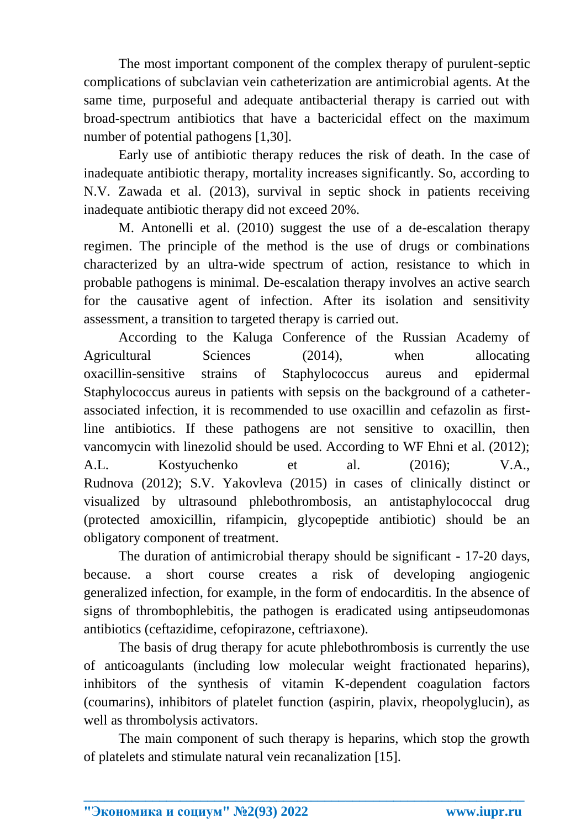The most important component of the complex therapy of purulent-septic complications of subclavian vein catheterization are antimicrobial agents. At the same time, purposeful and adequate antibacterial therapy is carried out with broad-spectrum antibiotics that have a bactericidal effect on the maximum number of potential pathogens [1,30].

Early use of antibiotic therapy reduces the risk of death. In the case of inadequate antibiotic therapy, mortality increases significantly. So, according to N.V. Zawada et al. (2013), survival in septic shock in patients receiving inadequate antibiotic therapy did not exceed 20%.

M. Antonelli et al. (2010) suggest the use of a de-escalation therapy regimen. The principle of the method is the use of drugs or combinations characterized by an ultra-wide spectrum of action, resistance to which in probable pathogens is minimal. De-escalation therapy involves an active search for the causative agent of infection. After its isolation and sensitivity assessment, a transition to targeted therapy is carried out.

According to the Kaluga Conference of the Russian Academy of Agricultural Sciences (2014), when allocating oxacillin-sensitive strains of Staphylococcus aureus and epidermal Staphylococcus aureus in patients with sepsis on the background of a catheterassociated infection, it is recommended to use oxacillin and cefazolin as firstline antibiotics. If these pathogens are not sensitive to oxacillin, then vancomycin with linezolid should be used. According to WF Ehni et al. (2012); A.L. Kostyuchenko et al. (2016); V.A., Rudnova (2012); S.V. Yakovleva (2015) in cases of clinically distinct or visualized by ultrasound phlebothrombosis, an antistaphylococcal drug (protected amoxicillin, rifampicin, glycopeptide antibiotic) should be an obligatory component of treatment.

The duration of antimicrobial therapy should be significant - 17-20 days, because. a short course creates a risk of developing angiogenic generalized infection, for example, in the form of endocarditis. In the absence of signs of thrombophlebitis, the pathogen is eradicated using antipseudomonas antibiotics (ceftazidime, cefopirazone, ceftriaxone).

The basis of drug therapy for acute phlebothrombosis is currently the use of anticoagulants (including low molecular weight fractionated heparins), inhibitors of the synthesis of vitamin K-dependent coagulation factors (coumarins), inhibitors of platelet function (aspirin, plavix, rheopolyglucin), as well as thrombolysis activators.

The main component of such therapy is heparins, which stop the growth of platelets and stimulate natural vein recanalization [15].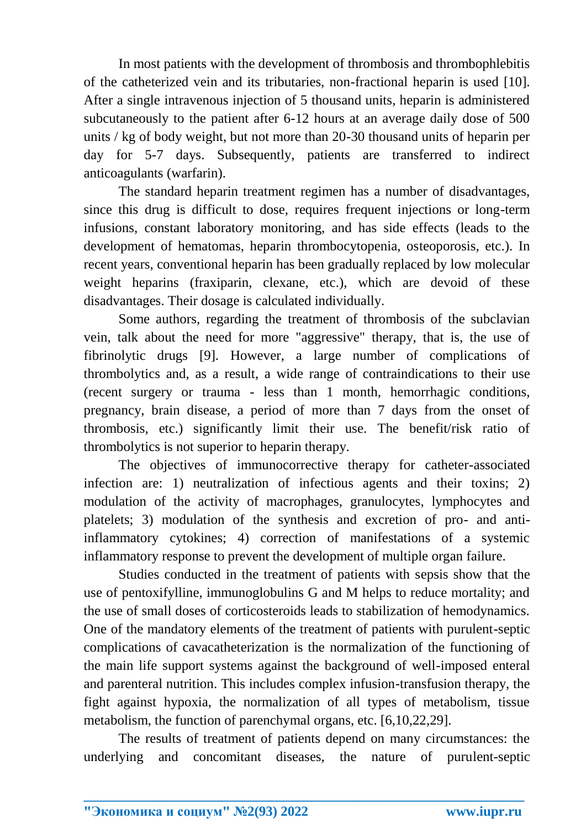In most patients with the development of thrombosis and thrombophlebitis of the catheterized vein and its tributaries, non-fractional heparin is used [10]. After a single intravenous injection of 5 thousand units, heparin is administered subcutaneously to the patient after 6-12 hours at an average daily dose of 500 units / kg of body weight, but not more than 20-30 thousand units of heparin per day for 5-7 days. Subsequently, patients are transferred to indirect anticoagulants (warfarin).

The standard heparin treatment regimen has a number of disadvantages, since this drug is difficult to dose, requires frequent injections or long-term infusions, constant laboratory monitoring, and has side effects (leads to the development of hematomas, heparin thrombocytopenia, osteoporosis, etc.). In recent years, conventional heparin has been gradually replaced by low molecular weight heparins (fraxiparin, clexane, etc.), which are devoid of these disadvantages. Their dosage is calculated individually.

Some authors, regarding the treatment of thrombosis of the subclavian vein, talk about the need for more "aggressive" therapy, that is, the use of fibrinolytic drugs [9]. However, a large number of complications of thrombolytics and, as a result, a wide range of contraindications to their use (recent surgery or trauma - less than 1 month, hemorrhagic conditions, pregnancy, brain disease, a period of more than 7 days from the onset of thrombosis, etc.) significantly limit their use. The benefit/risk ratio of thrombolytics is not superior to heparin therapy.

The objectives of immunocorrective therapy for catheter-associated infection are: 1) neutralization of infectious agents and their toxins; 2) modulation of the activity of macrophages, granulocytes, lymphocytes and platelets; 3) modulation of the synthesis and excretion of pro- and antiinflammatory cytokines; 4) correction of manifestations of a systemic inflammatory response to prevent the development of multiple organ failure.

Studies conducted in the treatment of patients with sepsis show that the use of pentoxifylline, immunoglobulins G and M helps to reduce mortality; and the use of small doses of corticosteroids leads to stabilization of hemodynamics. One of the mandatory elements of the treatment of patients with purulent-septic complications of cavacatheterization is the normalization of the functioning of the main life support systems against the background of well-imposed enteral and parenteral nutrition. This includes complex infusion-transfusion therapy, the fight against hypoxia, the normalization of all types of metabolism, tissue metabolism, the function of parenchymal organs, etc. [6,10,22,29].

The results of treatment of patients depend on many circumstances: the underlying and concomitant diseases, the nature of purulent-septic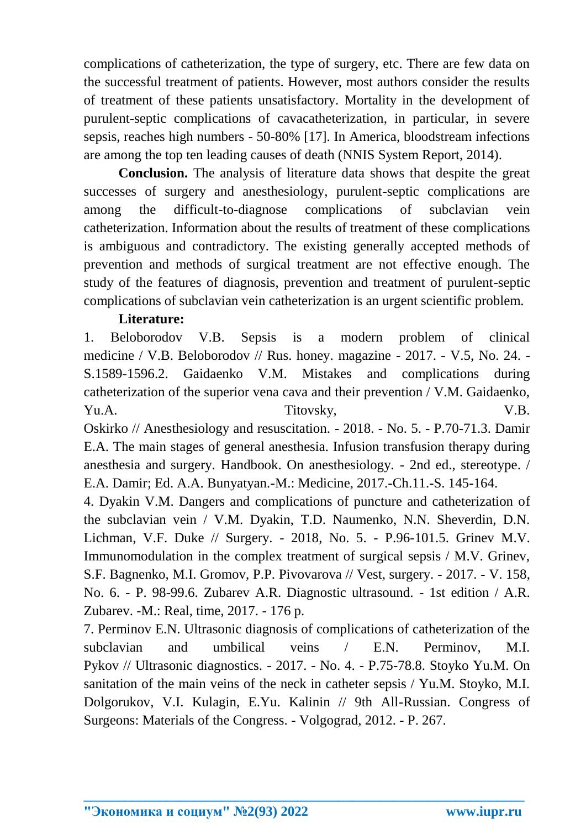complications of catheterization, the type of surgery, etc. There are few data on the successful treatment of patients. However, most authors consider the results of treatment of these patients unsatisfactory. Mortality in the development of purulent-septic complications of cavacatheterization, in particular, in severe sepsis, reaches high numbers - 50-80% [17]. In America, bloodstream infections are among the top ten leading causes of death (NNIS System Report, 2014).

**Conclusion.** The analysis of literature data shows that despite the great successes of surgery and anesthesiology, purulent-septic complications are among the difficult-to-diagnose complications of subclavian vein catheterization. Information about the results of treatment of these complications is ambiguous and contradictory. The existing generally accepted methods of prevention and methods of surgical treatment are not effective enough. The study of the features of diagnosis, prevention and treatment of purulent-septic complications of subclavian vein catheterization is an urgent scientific problem.

## **Literature:**

1. Beloborodov V.B. Sepsis is a modern problem of clinical medicine / V.B. Beloborodov // Rus. honey. magazine - 2017. - V.5, No. 24. - S.1589-1596.2. Gaidaenko V.M. Mistakes and complications during catheterization of the superior vena cava and their prevention / V.M. Gaidaenko, Yu.A. Titovsky, V.B.

Oskirko // Anesthesiology and resuscitation. - 2018. - No. 5. - P.70-71.3. Damir E.A. The main stages of general anesthesia. Infusion transfusion therapy during anesthesia and surgery. Handbook. On anesthesiology. - 2nd ed., stereotype. / E.A. Damir; Ed. A.A. Bunyatyan.-M.: Medicine, 2017.-Ch.11.-S. 145-164.

4. Dyakin V.M. Dangers and complications of puncture and catheterization of the subclavian vein / V.M. Dyakin, T.D. Naumenko, N.N. Sheverdin, D.N. Lichman, V.F. Duke // Surgery. - 2018, No. 5. - P.96-101.5. Grinev M.V. Immunomodulation in the complex treatment of surgical sepsis / M.V. Grinev, S.F. Bagnenko, M.I. Gromov, P.P. Pivovarova // Vest, surgery. - 2017. - V. 158, No. 6. - P. 98-99.6. Zubarev A.R. Diagnostic ultrasound. - 1st edition / A.R. Zubarev. -M.: Real, time, 2017. - 176 p.

7. Perminov E.N. Ultrasonic diagnosis of complications of catheterization of the subclavian and umbilical veins / E.N. Perminov, M.I. Pykov // Ultrasonic diagnostics. - 2017. - No. 4. - P.75-78.8. Stoyko Yu.M. On sanitation of the main veins of the neck in catheter sepsis / Yu.M. Stoyko, M.I. Dolgorukov, V.I. Kulagin, E.Yu. Kalinin // 9th All-Russian. Congress of Surgeons: Materials of the Congress. - Volgograd, 2012. - P. 267.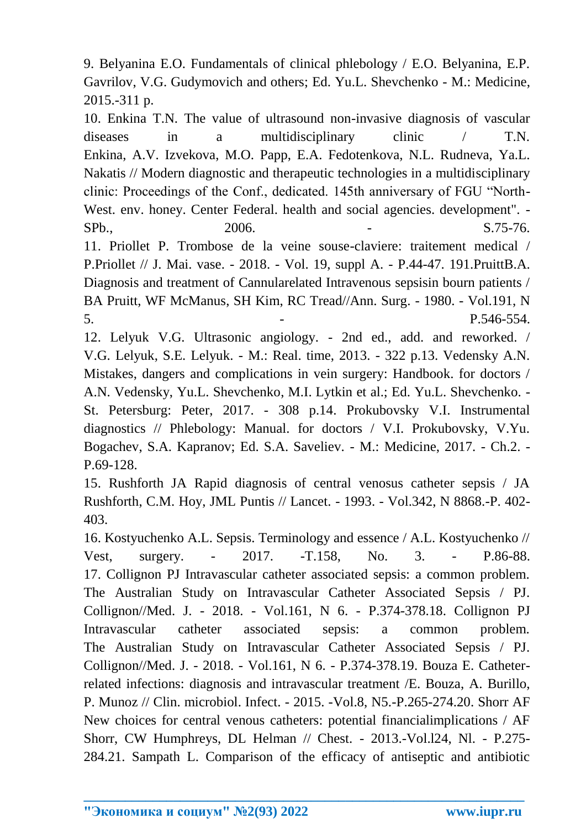9. Belyanina E.O. Fundamentals of clinical phlebology / E.O. Belyanina, E.P. Gavrilov, V.G. Gudymovich and others; Ed. Yu.L. Shevchenko - M.: Medicine, 2015.-311 p.

10. Enkina T.N. The value of ultrasound non-invasive diagnosis of vascular diseases in a multidisciplinary clinic / T.N. Enkina, A.V. Izvekova, M.O. Papp, E.A. Fedotenkova, N.L. Rudneva, Ya.L. Nakatis // Modern diagnostic and therapeutic technologies in a multidisciplinary clinic: Proceedings of the Conf., dedicated. 145th anniversary of FGU "North-West. env. honey. Center Federal. health and social agencies. development". - SPb., 2006. - S.75-76. 11. Priollet P. Trombose de la veine souse-claviere: traitement medical / P.Priollet // J. Mai. vase. - 2018. - Vol. 19, suppl A. - P.44-47. 191.PruittB.A. Diagnosis and treatment of Cannularelated Intravenous sepsisin bourn patients /

5. - P.546-554. 12. Lelyuk V.G. Ultrasonic angiology. - 2nd ed., add. and reworked. / V.G. Lelyuk, S.E. Lelyuk. - M.: Real. time, 2013. - 322 p.13. Vedensky A.N. Mistakes, dangers and complications in vein surgery: Handbook. for doctors / A.N. Vedensky, Yu.L. Shevchenko, M.I. Lytkin et al.; Ed. Yu.L. Shevchenko. - St. Petersburg: Peter, 2017. - 308 p.14. Prokubovsky V.I. Instrumental diagnostics // Phlebology: Manual. for doctors / V.I. Prokubovsky, V.Yu. Bogachev, S.A. Kapranov; Ed. S.A. Saveliev. - M.: Medicine, 2017. - Ch.2. - P.69-128.

BA Pruitt, WF McManus, SH Kim, RC Tread//Ann. Surg. - 1980. - Vol.191, N

15. Rushforth JA Rapid diagnosis of central venosus catheter sepsis / JA Rushforth, C.M. Hoy, JML Puntis // Lancet. - 1993. - Vol.342, N 8868.-P. 402- 403.

16. Kostyuchenko A.L. Sepsis. Terminology and essence / A.L. Kostyuchenko // Vest, surgery. - 2017. -T.158, No. 3. - P.86-88. 17. Collignon PJ Intravascular catheter associated sepsis: a common problem. The Australian Study on Intravascular Catheter Associated Sepsis / PJ. Collignon//Med. J. - 2018. - Vol.161, N 6. - P.374-378.18. Collignon PJ Intravascular catheter associated sepsis: a common problem. The Australian Study on Intravascular Catheter Associated Sepsis / PJ. Collignon//Med. J. - 2018. - Vol.161, N 6. - P.374-378.19. Bouza E. Catheterrelated infections: diagnosis and intravascular treatment /E. Bouza, A. Burillo, P. Munoz // Clin. microbiol. Infect. - 2015. -Vol.8, N5.-P.265-274.20. Shorr AF New choices for central venous catheters: potential financialimplications / AF Shorr, CW Humphreys, DL Helman // Chest. - 2013.-Vol.l24, Nl. - P.275- 284.21. Sampath L. Comparison of the efficacy of antiseptic and antibiotic